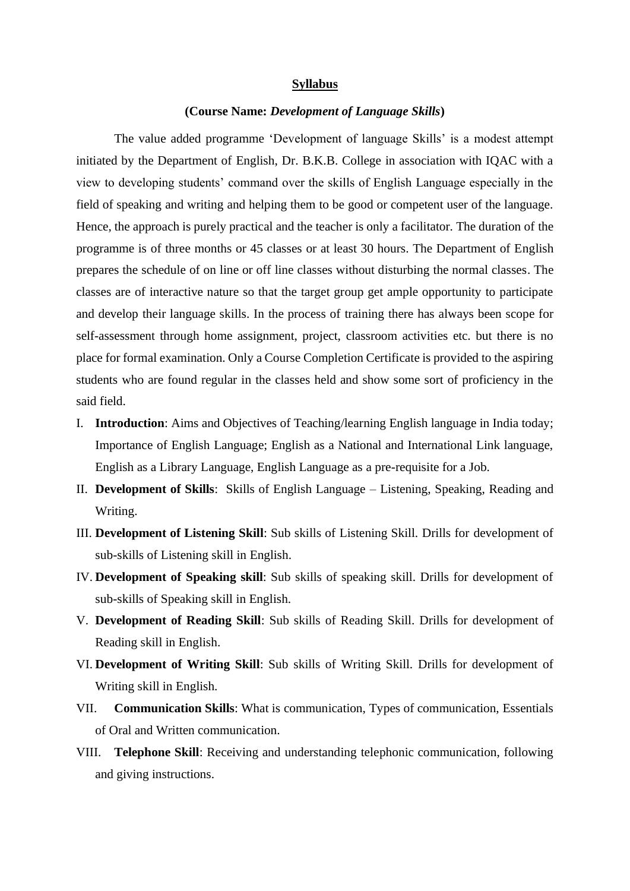## **Syllabus**

## **(Course Name:** *Development of Language Skills***)**

The value added programme 'Development of language Skills' is a modest attempt initiated by the Department of English, Dr. B.K.B. College in association with IQAC with a view to developing students' command over the skills of English Language especially in the field of speaking and writing and helping them to be good or competent user of the language. Hence, the approach is purely practical and the teacher is only a facilitator. The duration of the programme is of three months or 45 classes or at least 30 hours. The Department of English prepares the schedule of on line or off line classes without disturbing the normal classes. The classes are of interactive nature so that the target group get ample opportunity to participate and develop their language skills. In the process of training there has always been scope for self-assessment through home assignment, project, classroom activities etc. but there is no place for formal examination. Only a Course Completion Certificate is provided to the aspiring students who are found regular in the classes held and show some sort of proficiency in the said field.

- I. **Introduction**: Aims and Objectives of Teaching/learning English language in India today; Importance of English Language; English as a National and International Link language, English as a Library Language, English Language as a pre-requisite for a Job.
- II. **Development of Skills**: Skills of English Language Listening, Speaking, Reading and Writing.
- III. **Development of Listening Skill**: Sub skills of Listening Skill. Drills for development of sub-skills of Listening skill in English.
- IV. **Development of Speaking skill**: Sub skills of speaking skill. Drills for development of sub-skills of Speaking skill in English.
- V. **Development of Reading Skill**: Sub skills of Reading Skill. Drills for development of Reading skill in English.
- VI. **Development of Writing Skill**: Sub skills of Writing Skill. Drills for development of Writing skill in English.
- VII. **Communication Skills**: What is communication, Types of communication, Essentials of Oral and Written communication.
- VIII. **Telephone Skill**: Receiving and understanding telephonic communication, following and giving instructions.